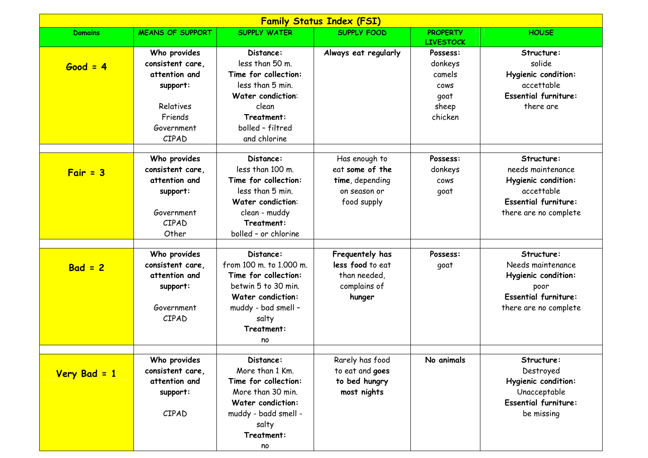| <b>Family Status Index (FSI)</b> |                                                                                                              |                                                                                                                                                                     |                                                                                    |                                                                          |                                                                                                                              |  |  |  |
|----------------------------------|--------------------------------------------------------------------------------------------------------------|---------------------------------------------------------------------------------------------------------------------------------------------------------------------|------------------------------------------------------------------------------------|--------------------------------------------------------------------------|------------------------------------------------------------------------------------------------------------------------------|--|--|--|
| <b>Domains</b>                   | <b>MEANS OF SUPPORT</b>                                                                                      | <b>SUPPLY WATER</b>                                                                                                                                                 | <b>SUPPLY FOOD</b>                                                                 | <b>PROPERTY</b><br><b>LIVESTOCK</b>                                      | <b>HOUSE</b>                                                                                                                 |  |  |  |
| $Good = 4$                       | Who provides<br>consistent care,<br>attention and<br>support:<br>Relatives<br>Friends<br>Government<br>CIPAD | Distance:<br>less than 50 m.<br>Time for collection:<br>less than 5 min.<br>Water condiction:<br>clean<br>Treatment:<br>bolled - filtred<br>and chlorine            | Always eat regularly                                                               | Possess:<br>donkeys<br>camels<br><b>COWS</b><br>goat<br>sheep<br>chicken | Structure:<br>solide<br>Hygienic condition:<br>accettable<br><b>Essential furniture:</b><br>there are                        |  |  |  |
| $Fair = 3$                       | Who provides<br>consistent care,<br>attention and<br>support:<br>Government<br>CIPAD<br>Other                | Distance:<br>less than 100 m.<br>Time for collection:<br>less than 5 min.<br><b>Water condiction:</b><br>clean - muddy<br>Treatment:<br>bolled - or chlorine        | Has enough to<br>eat some of the<br>time, depending<br>on season or<br>food supply | Possess:<br>donkeys<br><b>COWS</b><br>goat                               | Structure:<br>needs maintenance<br>Hygienic condition:<br>accettable<br><b>Essential furniture:</b><br>there are no complete |  |  |  |
| $Bad = 2$                        | Who provides<br>consistent care,<br>attention and<br>support:<br>Government<br>CIPAD                         | Distance:<br>from 100 m. to 1,000 m.<br>Time for collection:<br>betwin 5 to 30 min.<br><b>Water condiction:</b><br>muddy - bad smell -<br>salty<br>Treatment:<br>no | Frequentely has<br>less food to eat<br>than needed,<br>complains of<br>hunger      | Possess:<br>goat                                                         | Structure:<br>Needs maintenance<br>Hygienic condition:<br>poor<br><b>Essential furniture:</b><br>there are no complete       |  |  |  |
| Very Bad = 1                     | Who provides<br>consistent care,<br>attention and<br>support:<br>CIPAD                                       | Distance:<br>More than 1 Km.<br>Time for collection:<br>More than 30 min.<br><b>Water condiction:</b><br>muddy - badd smell -<br>salty<br>Treatment:<br>no          | Rarely has food<br>to eat and goes<br>to bed hungry<br>most nights                 | No animals                                                               | Structure:<br>Destroyed<br>Hygienic condition:<br>Unacceptable<br><b>Essential furniture:</b><br>be missing                  |  |  |  |